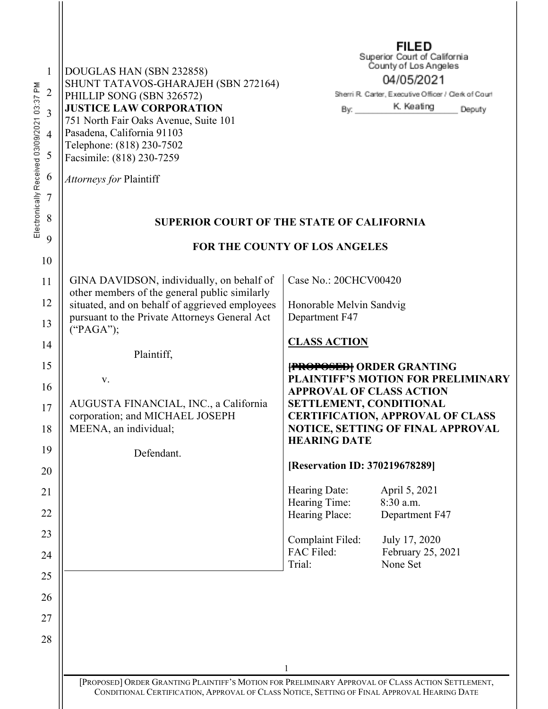| $\mathbf{1}$<br>Electronically Received 03/09/2021 03:37 PM<br>$\overline{2}$<br>3<br>4<br>5 | DOUGLAS HAN (SBN 232858)<br>SHUNT TATAVOS-GHARAJEH (SBN 272164)<br>PHILLIP SONG (SBN 326572)<br><b>JUSTICE LAW CORPORATION</b><br>751 North Fair Oaks Avenue, Suite 101<br>Pasadena, California 91103<br>Telephone: (818) 230-7502<br>Facsimile: (818) 230-7259 | FILED<br>Superior Court of California<br>County of Los Angeles<br>04/05/2021<br>Sherri R. Carter, Executive Officer / Clerk of Court<br>K. Keating<br>Deputy<br>By:                              |  |
|----------------------------------------------------------------------------------------------|-----------------------------------------------------------------------------------------------------------------------------------------------------------------------------------------------------------------------------------------------------------------|--------------------------------------------------------------------------------------------------------------------------------------------------------------------------------------------------|--|
| 6<br>7                                                                                       | Attorneys for Plaintiff                                                                                                                                                                                                                                         |                                                                                                                                                                                                  |  |
| 8                                                                                            | <b>SUPERIOR COURT OF THE STATE OF CALIFORNIA</b>                                                                                                                                                                                                                |                                                                                                                                                                                                  |  |
| 9                                                                                            | FOR THE COUNTY OF LOS ANGELES                                                                                                                                                                                                                                   |                                                                                                                                                                                                  |  |
| 10                                                                                           |                                                                                                                                                                                                                                                                 |                                                                                                                                                                                                  |  |
| 11                                                                                           | GINA DAVIDSON, individually, on behalf of<br>other members of the general public similarly                                                                                                                                                                      | Case No.: 20CHCV00420                                                                                                                                                                            |  |
| 12                                                                                           | situated, and on behalf of aggrieved employees                                                                                                                                                                                                                  | Honorable Melvin Sandvig                                                                                                                                                                         |  |
| 13                                                                                           | pursuant to the Private Attorneys General Act<br>("PAGA");                                                                                                                                                                                                      | Department F47                                                                                                                                                                                   |  |
| 14                                                                                           | Plaintiff,                                                                                                                                                                                                                                                      | <b>CLASS ACTION</b>                                                                                                                                                                              |  |
| 15                                                                                           |                                                                                                                                                                                                                                                                 | <b>[PROPOSED]</b> ORDER GRANTING                                                                                                                                                                 |  |
| 16                                                                                           | V.                                                                                                                                                                                                                                                              | <b>PLAINTIFF'S MOTION FOR PRELIMINARY</b><br><b>APPROVAL OF CLASS ACTION</b>                                                                                                                     |  |
| 17<br>18                                                                                     | AUGUSTA FINANCIAL, INC., a California<br>corporation; and MICHAEL JOSEPH<br>MEENA, an individual;                                                                                                                                                               | SETTLEMENT, CONDITIONAL<br><b>CERTIFICATION, APPROVAL OF CLASS</b><br>NOTICE, SETTING OF FINAL APPROVAL                                                                                          |  |
| 19                                                                                           |                                                                                                                                                                                                                                                                 | <b>HEARING DATE</b>                                                                                                                                                                              |  |
| 20                                                                                           | Defendant.                                                                                                                                                                                                                                                      | [Reservation ID: 370219678289]                                                                                                                                                                   |  |
| 21                                                                                           |                                                                                                                                                                                                                                                                 | Hearing Date:<br>April 5, 2021                                                                                                                                                                   |  |
| 22                                                                                           |                                                                                                                                                                                                                                                                 | Hearing Time:<br>8:30 a.m.<br>Hearing Place:<br>Department F47                                                                                                                                   |  |
| 23                                                                                           |                                                                                                                                                                                                                                                                 | Complaint Filed:<br>July 17, 2020                                                                                                                                                                |  |
| 24                                                                                           |                                                                                                                                                                                                                                                                 | FAC Filed:<br>February 25, 2021<br>None Set<br>Trial:                                                                                                                                            |  |
| 25                                                                                           |                                                                                                                                                                                                                                                                 |                                                                                                                                                                                                  |  |
| 26                                                                                           |                                                                                                                                                                                                                                                                 |                                                                                                                                                                                                  |  |
| 27                                                                                           |                                                                                                                                                                                                                                                                 |                                                                                                                                                                                                  |  |
| 28                                                                                           |                                                                                                                                                                                                                                                                 |                                                                                                                                                                                                  |  |
|                                                                                              |                                                                                                                                                                                                                                                                 |                                                                                                                                                                                                  |  |
|                                                                                              |                                                                                                                                                                                                                                                                 | [PROPOSED] ORDER GRANTING PLAINTIFF'S MOTION FOR PRELIMINARY APPROVAL OF CLASS ACTION SETTLEMENT,<br>CONDITIONAL CERTIFICATION, APPROVAL OF CLASS NOTICE, SETTING OF FINAL APPROVAL HEARING DATE |  |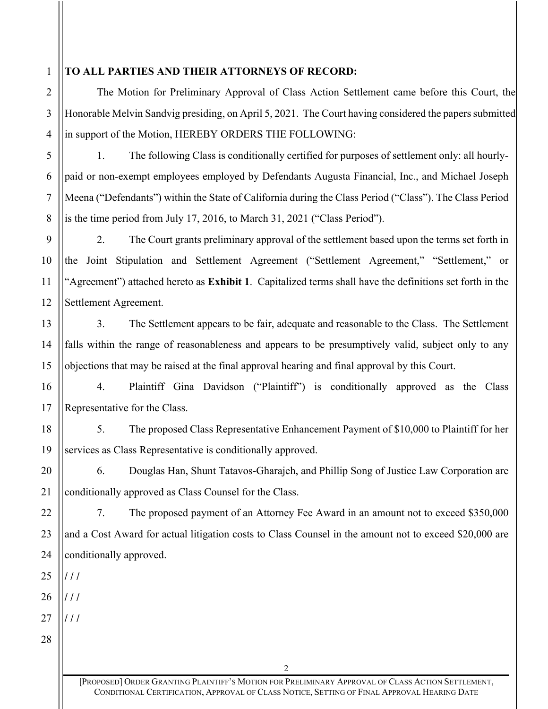## 1

2

3

4

5

6

7

8

9

10

11

12

13

14

15

16

17

## **TO ALL PARTIES AND THEIR ATTORNEYS OF RECORD:**

The Motion for Preliminary Approval of Class Action Settlement came before this Court, the Honorable Melvin Sandvig presiding, on April 5, 2021. The Court having considered the papers submitted in support of the Motion, HEREBY ORDERS THE FOLLOWING:

1. The following Class is conditionally certified for purposes of settlement only: all hourlypaid or non-exempt employees employed by Defendants Augusta Financial, Inc., and Michael Joseph Meena ("Defendants") within the State of California during the Class Period ("Class"). The Class Period is the time period from July 17, 2016, to March 31, 2021 ("Class Period").

2. The Court grants preliminary approval of the settlement based upon the terms set forth in the Joint Stipulation and Settlement Agreement ("Settlement Agreement," "Settlement," or "Agreement") attached hereto as **Exhibit 1**. Capitalized terms shall have the definitions set forth in the Settlement Agreement.

3. The Settlement appears to be fair, adequate and reasonable to the Class. The Settlement falls within the range of reasonableness and appears to be presumptively valid, subject only to any objections that may be raised at the final approval hearing and final approval by this Court.

4. Plaintiff Gina Davidson ("Plaintiff") is conditionally approved as the Class Representative for the Class.

18 19 5. The proposed Class Representative Enhancement Payment of \$10,000 to Plaintiff for her services as Class Representative is conditionally approved.

20 21 6. Douglas Han, Shunt Tatavos-Gharajeh, and Phillip Song of Justice Law Corporation are conditionally approved as Class Counsel for the Class.

7. The proposed payment of an Attorney Fee Award in an amount not to exceed \$350,000 and a Cost Award for actual litigation costs to Class Counsel in the amount not to exceed \$20,000 are conditionally approved.

25

 $/$  /  $/$ 

 $/$  /  $/$ 

22

23

24

26  $/$  /  $/$ 

27 28

> [PROPOSED] ORDER GRANTING PLAINTIFF'S MOTION FOR PRELIMINARY APPROVAL OF CLASS ACTION SETTLEMENT, CONDITIONAL CERTIFICATION, APPROVAL OF CLASS NOTICE, SETTING OF FINAL APPROVAL HEARING DATE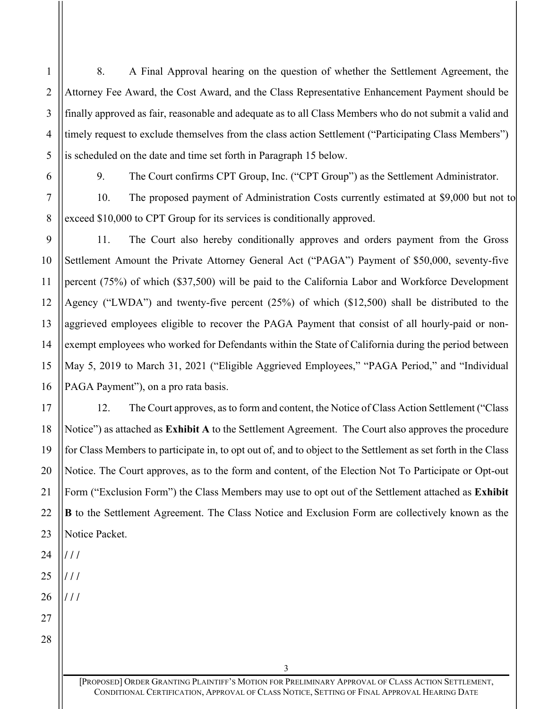8. A Final Approval hearing on the question of whether the Settlement Agreement, the Attorney Fee Award, the Cost Award, and the Class Representative Enhancement Payment should be finally approved as fair, reasonable and adequate as to all Class Members who do not submit a valid and timely request to exclude themselves from the class action Settlement ("Participating Class Members") is scheduled on the date and time set forth in Paragraph 15 below.

1

2

3

4

5

6

7

8

9

10

11

12

13

14

15

16

17

18

19

20

21

22

23

9. The Court confirms CPT Group, Inc. ("CPT Group") as the Settlement Administrator.

10. The proposed payment of Administration Costs currently estimated at \$9,000 but not to exceed \$10,000 to CPT Group for its services is conditionally approved.

11. The Court also hereby conditionally approves and orders payment from the Gross Settlement Amount the Private Attorney General Act ("PAGA") Payment of \$50,000, seventy-five percent (75%) of which (\$37,500) will be paid to the California Labor and Workforce Development Agency ("LWDA") and twenty-five percent (25%) of which (\$12,500) shall be distributed to the aggrieved employees eligible to recover the PAGA Payment that consist of all hourly-paid or nonexempt employees who worked for Defendants within the State of California during the period between May 5, 2019 to March 31, 2021 ("Eligible Aggrieved Employees," "PAGA Period," and "Individual PAGA Payment"), on a pro rata basis.

12. The Court approves, as to form and content, the Notice of Class Action Settlement ("Class Notice") as attached as **Exhibit A** to the Settlement Agreement. The Court also approves the procedure for Class Members to participate in, to opt out of, and to object to the Settlement as set forth in the Class Notice. The Court approves, as to the form and content, of the Election Not To Participate or Opt-out Form ("Exclusion Form") the Class Members may use to opt out of the Settlement attached as **Exhibit B** to the Settlement Agreement. The Class Notice and Exclusion Form are collectively known as the Notice Packet.

24 25 26 27  $/$  /  $/$  $/$  /  $/$  $/$  /  $/$ 

28

[PROPOSED] ORDER GRANTING PLAINTIFF'S MOTION FOR PRELIMINARY APPROVAL OF CLASS ACTION SETTLEMENT, CONDITIONAL CERTIFICATION, APPROVAL OF CLASS NOTICE, SETTING OF FINAL APPROVAL HEARING DATE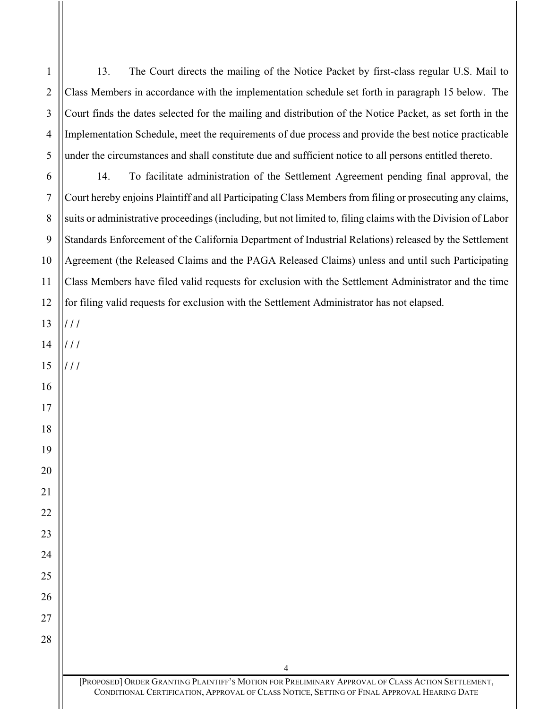13. The Court directs the mailing of the Notice Packet by first-class regular U.S. Mail to Class Members in accordance with the implementation schedule set forth in paragraph 15 below. The Court finds the dates selected for the mailing and distribution of the Notice Packet, as set forth in the Implementation Schedule, meet the requirements of due process and provide the best notice practicable under the circumstances and shall constitute due and sufficient notice to all persons entitled thereto. 14. To facilitate administration of the Settlement Agreement pending final approval, the Court hereby enjoins Plaintiff and all Participating Class Members from filing or prosecuting any claims, suits or administrative proceedings (including, but not limited to, filing claims with the Division of Labor Standards Enforcement of the California Department of Industrial Relations) released by the Settlement Agreement (the Released Claims and the PAGA Released Claims) unless and until such Participating Class Members have filed valid requests for exclusion with the Settlement Administrator and the time for filing valid requests for exclusion with the Settlement Administrator has not elapsed.  $/$  /  $/$  $\frac{1}{11}$  $\frac{1}{11}$ 

[PROPOSED] ORDER GRANTING PLAINTIFF'S MOTION FOR PRELIMINARY APPROVAL OF CLASS ACTION SETTLEMENT, CONDITIONAL CERTIFICATION, APPROVAL OF CLASS NOTICE, SETTING OF FINAL APPROVAL HEARING DATE